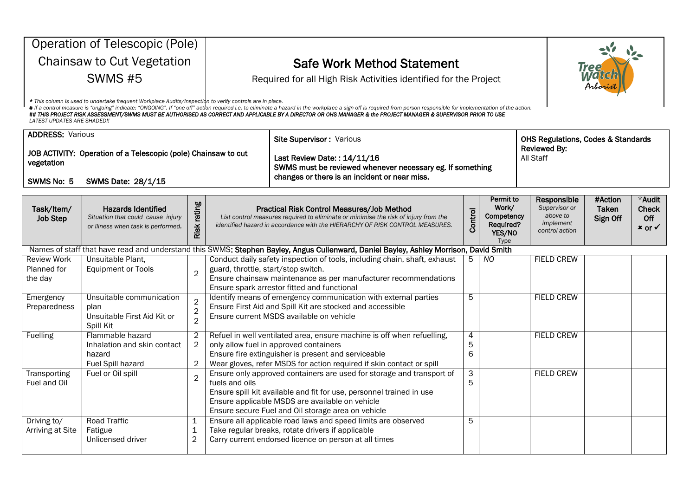|                                                                              | Operation of Telescopic (Pole)                                                                                              |                                                    |                                     |                                                                                                                                                                                                                                                        |                                                                                               |                                                                 |  |                                                                         |                              |                                                      |  |
|------------------------------------------------------------------------------|-----------------------------------------------------------------------------------------------------------------------------|----------------------------------------------------|-------------------------------------|--------------------------------------------------------------------------------------------------------------------------------------------------------------------------------------------------------------------------------------------------------|-----------------------------------------------------------------------------------------------|-----------------------------------------------------------------|--|-------------------------------------------------------------------------|------------------------------|------------------------------------------------------|--|
|                                                                              | Chainsaw to Cut Vegetation                                                                                                  |                                                    |                                     | <b>Safe Work Method Statement</b><br>Iree                                                                                                                                                                                                              |                                                                                               |                                                                 |  |                                                                         |                              |                                                      |  |
|                                                                              | <b>SWMS #5</b>                                                                                                              |                                                    |                                     | Required for all High Risk Activities identified for the Project                                                                                                                                                                                       |                                                                                               |                                                                 |  |                                                                         | <i><b>Mord</b></i>           |                                                      |  |
|                                                                              | * This column is used to undertake frequent Workplace Audits/Inspection to verify controls are in place.                    |                                                    |                                     |                                                                                                                                                                                                                                                        |                                                                                               |                                                                 |  |                                                                         |                              |                                                      |  |
| <b>LATEST UPDATES ARE SHADED!!</b>                                           | asure is "ongoing" indicate: "ONGOING". If "one off" action required i.e. to eliminate a hazard in the workplace a sign ofi |                                                    |                                     | ## THIS PROJECT RISK ASSESSMENT/SWMS MUST BE AUTHORISED AS CORRECT AND APPLICABLE BY A DIRECTOR OR OHS MANAGER & the PROJECT MANAGER & SUPERVISOR PRIOR TO USE                                                                                         |                                                                                               |                                                                 |  |                                                                         |                              |                                                      |  |
| <b>ADDRESS: Various</b>                                                      |                                                                                                                             |                                                    |                                     | Site Supervisor: Various                                                                                                                                                                                                                               |                                                                                               |                                                                 |  | <b>OHS Regulations, Codes &amp; Standards</b>                           |                              |                                                      |  |
| JOB ACTIVITY: Operation of a Telescopic (pole) Chainsaw to cut<br>vegetation |                                                                                                                             |                                                    |                                     | Last Review Date:: 14/11/16                                                                                                                                                                                                                            | <b>Reviewed By:</b><br>All Staff<br>SWMS must be reviewed whenever necessary eg. If something |                                                                 |  |                                                                         |                              |                                                      |  |
| SWMS No: 5                                                                   | SWMS Date: 28/1/15                                                                                                          |                                                    |                                     | changes or there is an incident or near miss.                                                                                                                                                                                                          |                                                                                               |                                                                 |  |                                                                         |                              |                                                      |  |
| Task/Item/<br><b>Job Step</b>                                                | <b>Hazards Identified</b><br>Situation that could cause injury<br>or illness when task is performed.                        | Risk rating                                        |                                     | Practical Risk Control Measures/Job Method<br>List control measures required to eliminate or minimise the risk of injury from the<br>identified hazard in accordance with the HIERARCHY OF RISK CONTROL MEASURES.                                      | <b>Control</b>                                                                                | Permit to<br>Work/<br>Competency<br>Required?<br>YES/NO<br>Type |  | Responsible<br>Supervisor or<br>above to<br>implement<br>control action | #Action<br>Taken<br>Sign Off | *Audit<br><b>Check</b><br>Off<br>$x$ or $\checkmark$ |  |
|                                                                              |                                                                                                                             |                                                    |                                     | Names of staff that have read and understand this SWMS: Stephen Bayley, Angus Cullenward, Daniel Bayley, Ashley Morrison, David Smith                                                                                                                  |                                                                                               |                                                                 |  |                                                                         |                              |                                                      |  |
| <b>Review Work</b><br>Planned for<br>the day                                 | Unsuitable Plant,<br><b>Equipment or Tools</b>                                                                              | $\overline{2}$                                     | guard, throttle, start/stop switch. | Conduct daily safety inspection of tools, including chain, shaft, exhaust<br>Ensure chainsaw maintenance as per manufacturer recommendations<br>Ensure spark arrestor fitted and functional                                                            | 5                                                                                             | NO.                                                             |  | <b>FIELD CREW</b>                                                       |                              |                                                      |  |
| Emergency<br>Preparedness                                                    | Unsuitable communication<br>plan<br>Unsuitable First Aid Kit or<br>Spill Kit                                                | $\overline{2}$<br>$\overline{2}$<br>$\overline{2}$ |                                     | Identify means of emergency communication with external parties<br>Ensure First Aid and Spill Kit are stocked and accessible<br>Ensure current MSDS available on vehicle                                                                               | 5                                                                                             |                                                                 |  | <b>FIELD CREW</b>                                                       |                              |                                                      |  |
| Fuelling                                                                     | Flammable hazard<br>Inhalation and skin contact<br>hazard<br>Fuel Spill hazard                                              | $\overline{c}$<br>$\overline{2}$<br>$\overline{2}$ |                                     | Refuel in well ventilated area, ensure machine is off when refuelling,<br>only allow fuel in approved containers<br>Ensure fire extinguisher is present and serviceable<br>Wear gloves, refer MSDS for action required if skin contact or spill        | 4<br>5<br>6                                                                                   |                                                                 |  | <b>FIELD CREW</b>                                                       |                              |                                                      |  |
| Transporting<br>Fuel and Oil                                                 | Fuel or Oil spill                                                                                                           | $\overline{2}$                                     | fuels and oils                      | Ensure only approved containers are used for storage and transport of<br>Ensure spill kit available and fit for use, personnel trained in use<br>Ensure applicable MSDS are available on vehicle<br>Ensure secure Fuel and Oil storage area on vehicle | $\overline{3}$<br>5                                                                           |                                                                 |  | <b>FIELD CREW</b>                                                       |                              |                                                      |  |
| Driving to/<br>Arriving at Site                                              | <b>Road Traffic</b><br>Fatigue<br>Unlicensed driver                                                                         | 1<br>1<br>$\overline{c}$                           |                                     | Ensure all applicable road laws and speed limits are observed<br>Take regular breaks, rotate drivers if applicable<br>Carry current endorsed licence on person at all times                                                                            | 5                                                                                             |                                                                 |  |                                                                         |                              |                                                      |  |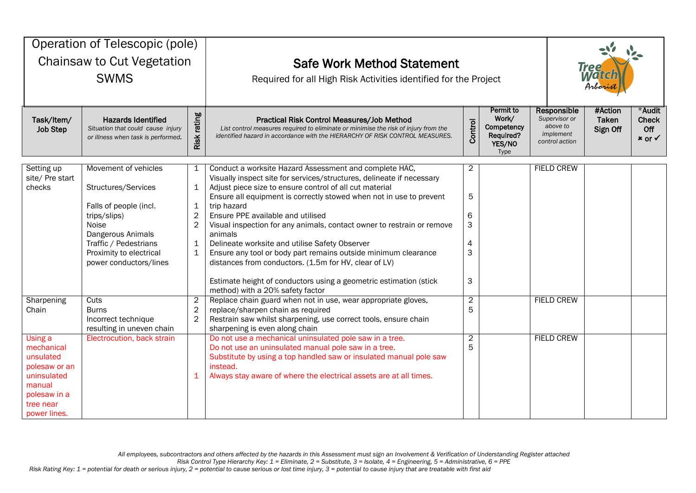| Operation of Telescopic (pole)<br>Chainsaw to Cut Vegetation<br><b>SWMS</b>                                               |                                                                                                                                                                                                   |                                                                               | <b>Safe Work Method Statement</b><br>Required for all High Risk Activities identified for the Project                                                                                                                                                                                                                                                                                                                                                                                                                                                                                                                                                                                            |                                                                                                                                                       |  |  |                   | <b>Tree</b><br><b>Matc</b><br>Arboris<br>#Action |                                                      |
|---------------------------------------------------------------------------------------------------------------------------|---------------------------------------------------------------------------------------------------------------------------------------------------------------------------------------------------|-------------------------------------------------------------------------------|--------------------------------------------------------------------------------------------------------------------------------------------------------------------------------------------------------------------------------------------------------------------------------------------------------------------------------------------------------------------------------------------------------------------------------------------------------------------------------------------------------------------------------------------------------------------------------------------------------------------------------------------------------------------------------------------------|-------------------------------------------------------------------------------------------------------------------------------------------------------|--|--|-------------------|--------------------------------------------------|------------------------------------------------------|
| Task/Item/<br><b>Job Step</b>                                                                                             | <b>Hazards Identified</b><br>Situation that could cause injury<br>or illness when task is performed.                                                                                              | Risk rating                                                                   | Practical Risk Control Measures/Job Method<br>List control measures required to eliminate or minimise the risk of injury from the<br>identified hazard in accordance with the HIERARCHY OF RISK CONTROL MEASURES.                                                                                                                                                                                                                                                                                                                                                                                                                                                                                | Permit to<br>Responsible<br>Work/<br>Supervisor or<br>Control<br>above to<br>Competency<br>implement<br>Required?<br>control action<br>YES/NO<br>Type |  |  |                   |                                                  | *Audit<br><b>Check</b><br>Off<br>$x$ or $\checkmark$ |
| Setting up<br>site/ Pre start<br>checks                                                                                   | Movement of vehicles<br>Structures/Services<br>Falls of people (incl.<br>trips/slips)<br>Noise<br>Dangerous Animals<br>Traffic / Pedestrians<br>Proximity to electrical<br>power conductors/lines | 1<br>1<br>$\mathbf 1$<br>$\overline{2}$<br>$\overline{2}$<br>1<br>$\mathbf 1$ | Conduct a worksite Hazard Assessment and complete HAC,<br>Visually inspect site for services/structures, delineate if necessary<br>Adjust piece size to ensure control of all cut material<br>Ensure all equipment is correctly stowed when not in use to prevent<br>trip hazard<br>Ensure PPE available and utilised<br>Visual inspection for any animals, contact owner to restrain or remove<br>animals<br>Delineate worksite and utilise Safety Observer<br>Ensure any tool or body part remains outside minimum clearance<br>distances from conductors. (1.5m for HV, clear of LV)<br>Estimate height of conductors using a geometric estimation (stick<br>method) with a 20% safety factor | $\overline{2}$<br>5<br>6<br>3<br>4<br>3<br>3                                                                                                          |  |  | <b>FIELD CREW</b> |                                                  |                                                      |
| Sharpening<br>Chain                                                                                                       | Cuts<br><b>Burns</b><br>Incorrect technique<br>resulting in uneven chain                                                                                                                          | $\overline{c}$<br>$\mathbf 2$<br>$\overline{c}$                               | Replace chain guard when not in use, wear appropriate gloves,<br>replace/sharpen chain as required<br>Restrain saw whilst sharpening, use correct tools, ensure chain<br>sharpening is even along chain                                                                                                                                                                                                                                                                                                                                                                                                                                                                                          | $\overline{2}$<br>5                                                                                                                                   |  |  | <b>FIELD CREW</b> |                                                  |                                                      |
| Using a<br>mechanical<br>unsulated<br>polesaw or an<br>uninsulated<br>manual<br>polesaw in a<br>tree near<br>power lines. | Electrocution, back strain                                                                                                                                                                        |                                                                               | Do not use a mechanical uninsulated pole saw in a tree.<br>Do not use an uninsulated manual pole saw in a tree.<br>Substitute by using a top handled saw or insulated manual pole saw<br>instead.<br>Always stay aware of where the electrical assets are at all times.                                                                                                                                                                                                                                                                                                                                                                                                                          | $\overline{2}$<br>5                                                                                                                                   |  |  | <b>FIELD CREW</b> |                                                  |                                                      |

*Risk Control Type Hierarchy Key: 1 = Eliminate, 2 = Substitute, 3 = Isolate, 4 = Engineering, 5 = Administrative, 6 = PPE*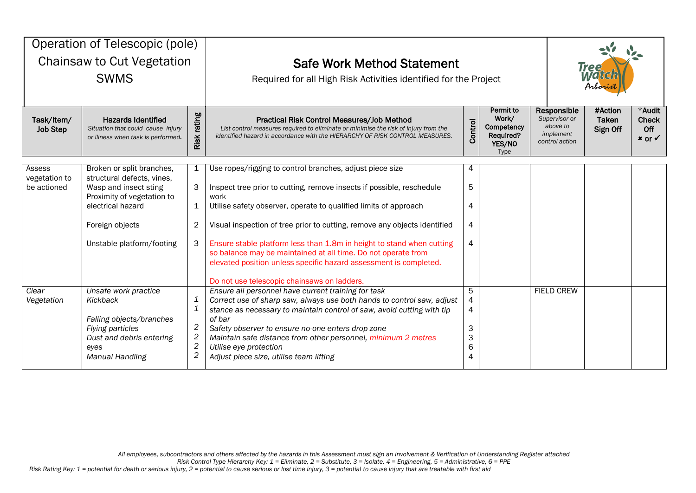| Operation of Telescopic (pole)<br><b>Chainsaw to Cut Vegetation</b><br><b>SWMS</b> |                                                                                                                                                                                     |                                                                                                    | <b>Safe Work Method Statement</b><br>Required for all High Risk Activities identified for the Project                                                                                                                                                                                                                                                                                                                                                                                                                                                    |                                                                 | <b>Tree</b><br><i><b>Motic</b></i><br>Arborn                            |                              |                                                      |  |
|------------------------------------------------------------------------------------|-------------------------------------------------------------------------------------------------------------------------------------------------------------------------------------|----------------------------------------------------------------------------------------------------|----------------------------------------------------------------------------------------------------------------------------------------------------------------------------------------------------------------------------------------------------------------------------------------------------------------------------------------------------------------------------------------------------------------------------------------------------------------------------------------------------------------------------------------------------------|-----------------------------------------------------------------|-------------------------------------------------------------------------|------------------------------|------------------------------------------------------|--|
| Task/Item/<br><b>Job Step</b>                                                      | <b>Hazards Identified</b><br>Situation that could cause injury<br>or illness when task is performed.                                                                                | Risk rating                                                                                        | Practical Risk Control Measures/Job Method<br>List control measures required to eliminate or minimise the risk of injury from the<br>identified hazard in accordance with the HIERARCHY OF RISK CONTROL MEASURES.                                                                                                                                                                                                                                                                                                                                        | Permit to<br>Work/<br>Competency<br>Required?<br>YES/NO<br>Type | Responsible<br>Supervisor or<br>above to<br>implement<br>control action | #Action<br>Taken<br>Sign Off | *Audit<br><b>Check</b><br>Off<br>$x$ or $\checkmark$ |  |
| Assess<br>vegetation to<br>be actioned                                             | Broken or split branches,<br>structural defects, vines,<br>Wasp and insect sting<br>Proximity of vegetation to<br>electrical hazard<br>Foreign objects<br>Unstable platform/footing | 1<br>3<br>1<br>2<br>3                                                                              | Use ropes/rigging to control branches, adjust piece size<br>Inspect tree prior to cutting, remove insects if possible, reschedule<br>work<br>Utilise safety observer, operate to qualified limits of approach<br>Visual inspection of tree prior to cutting, remove any objects identified<br>Ensure stable platform less than 1.8m in height to stand when cutting<br>so balance may be maintained at all time. Do not operate from<br>elevated position unless specific hazard assessment is completed.<br>Do not use telescopic chainsaws on ladders. | 4<br>5<br>4<br>4<br>4                                           |                                                                         |                              |                                                      |  |
| Clear<br>Vegetation                                                                | Unsafe work practice<br>Kickback<br>Falling objects/branches<br>Flying particles<br>Dust and debris entering<br>eyes<br><b>Manual Handling</b>                                      | 1<br>$\mathbf{1}$<br>$\overline{\mathbf{c}}$<br>$\overline{c}$<br>$\overline{c}$<br>$\overline{c}$ | Ensure all personnel have current training for task<br>Correct use of sharp saw, always use both hands to control saw, adjust<br>stance as necessary to maintain control of saw, avoid cutting with tip<br>of bar<br>Safety observer to ensure no-one enters drop zone<br>Maintain safe distance from other personnel, minimum 2 metres<br>Utilise eye protection<br>Adjust piece size, utilise team lifting                                                                                                                                             | 5<br>4<br>4<br>3<br>3<br>6<br>4                                 |                                                                         | <b>FIELD CREW</b>            |                                                      |  |

*Risk Control Type Hierarchy Key: 1 = Eliminate, 2 = Substitute, 3 = Isolate, 4 = Engineering, 5 = Administrative, 6 = PPE*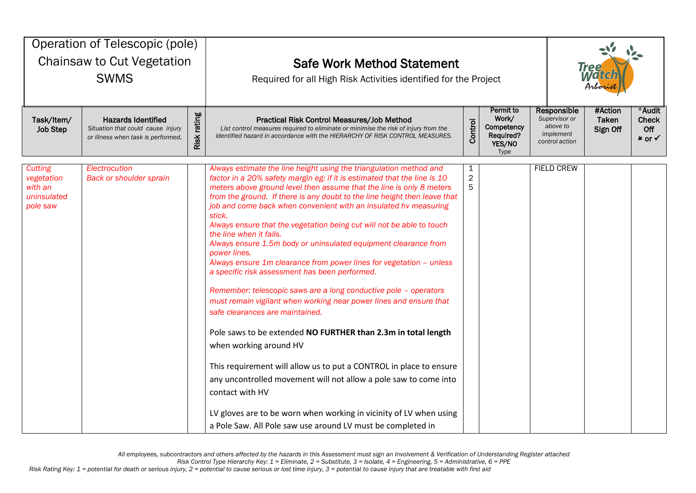| Operation of Telescopic (pole)<br>Chainsaw to Cut Vegetation<br><b>SWMS</b> |                                                                                                      |             | <b>Safe Work Method Statement</b><br>Required for all High Risk Activities identified for the Project<br>Permit to                                                                                                                                                                                                                                                                                                                                                                                                                                                                                                                                                                                                                                                                                                                                                                                                                                                                                                                                                                                                                                                                                                                                                          |                                       |                                                    | Responsible                                              | <b>Tree</b><br>Watc<br>Arborist<br>#Action<br>*Audit |                                            |  |
|-----------------------------------------------------------------------------|------------------------------------------------------------------------------------------------------|-------------|-----------------------------------------------------------------------------------------------------------------------------------------------------------------------------------------------------------------------------------------------------------------------------------------------------------------------------------------------------------------------------------------------------------------------------------------------------------------------------------------------------------------------------------------------------------------------------------------------------------------------------------------------------------------------------------------------------------------------------------------------------------------------------------------------------------------------------------------------------------------------------------------------------------------------------------------------------------------------------------------------------------------------------------------------------------------------------------------------------------------------------------------------------------------------------------------------------------------------------------------------------------------------------|---------------------------------------|----------------------------------------------------|----------------------------------------------------------|------------------------------------------------------|--------------------------------------------|--|
| Task/Item/<br>Job Step                                                      | <b>Hazards Identified</b><br>Situation that could cause injury<br>or illness when task is performed. | Risk rating | Practical Risk Control Measures/Job Method<br>List control measures required to eliminate or minimise the risk of injury from the<br>identified hazard in accordance with the HIERARCHY OF RISK CONTROL MEASURES.                                                                                                                                                                                                                                                                                                                                                                                                                                                                                                                                                                                                                                                                                                                                                                                                                                                                                                                                                                                                                                                           | Control                               | Work/<br>Competency<br>Required?<br>YES/NO<br>Type | Supervisor or<br>above to<br>implement<br>control action | <b>Taken</b><br>Sign Off                             | <b>Check</b><br>Off<br>$x$ or $\checkmark$ |  |
| <b>Cutting</b><br>vegetation<br>with an<br>uninsulated<br>pole saw          | Electrocution<br><b>Back or shoulder sprain</b>                                                      |             | Always estimate the line height using the triangulation method and<br>factor in a 20% safety margin eg: if it is estimated that the line is 10<br>meters above ground level then assume that the line is only 8 meters<br>from the ground. If there is any doubt to the line height then leave that<br>job and come back when convenient with an insulated hv measuring<br>stick.<br>Always ensure that the vegetation being cut will not be able to touch<br>the line when it falls.<br>Always ensure 1.5m body or uninsulated equipment clearance from<br>power lines.<br>Always ensure 1m clearance from power lines for vegetation - unless<br>a specific risk assessment has been performed.<br>Remember: telescopic saws are a long conductive pole - operators<br>must remain vigilant when working near power lines and ensure that<br>safe clearances are maintained.<br>Pole saws to be extended NO FURTHER than 2.3m in total length<br>when working around HV<br>This requirement will allow us to put a CONTROL in place to ensure<br>any uncontrolled movement will not allow a pole saw to come into<br>contact with HV<br>LV gloves are to be worn when working in vicinity of LV when using<br>a Pole Saw. All Pole saw use around LV must be completed in | $\mathbf{1}$<br>$\boldsymbol{2}$<br>5 |                                                    | <b>FIELD CREW</b>                                        |                                                      |                                            |  |

*Risk Control Type Hierarchy Key: 1 = Eliminate, 2 = Substitute, 3 = Isolate, 4 = Engineering, 5 = Administrative, 6 = PPE*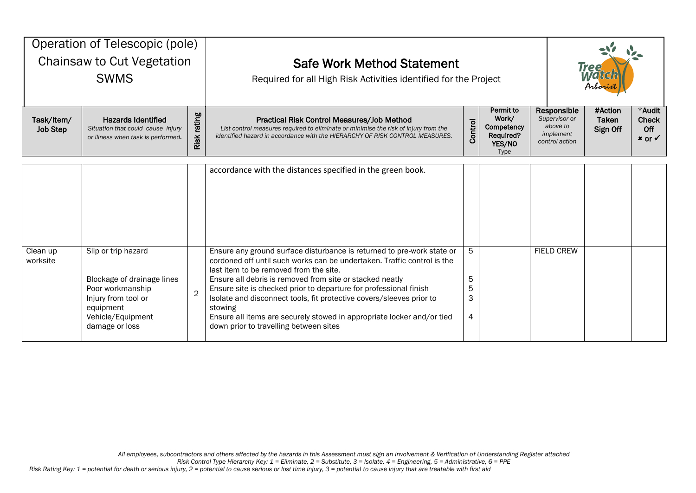| Operation of Telescopic (pole)<br><b>Chainsaw to Cut Vegetation</b><br><b>SWMS</b> |                                                                                                                                                  |                  | <b>Safe Work Method Statement</b><br>Required for all High Risk Activities identified for the Project                                                                                                                                                                                                                                                                                                                                                                                                                               |                        | <b>Tree</b>                                                            |                                                                         |                              |                                                      |
|------------------------------------------------------------------------------------|--------------------------------------------------------------------------------------------------------------------------------------------------|------------------|-------------------------------------------------------------------------------------------------------------------------------------------------------------------------------------------------------------------------------------------------------------------------------------------------------------------------------------------------------------------------------------------------------------------------------------------------------------------------------------------------------------------------------------|------------------------|------------------------------------------------------------------------|-------------------------------------------------------------------------|------------------------------|------------------------------------------------------|
| Task/Item/<br><b>Job Step</b>                                                      | <b>Hazards Identified</b><br>Situation that could cause injury<br>or illness when task is performed.                                             | rating<br>Risk i | Practical Risk Control Measures/Job Method<br>List control measures required to eliminate or minimise the risk of injury from the<br>identified hazard in accordance with the HIERARCHY OF RISK CONTROL MEASURES.                                                                                                                                                                                                                                                                                                                   | Control                | <b>Permit to</b><br>Work/<br>Competency<br>Required?<br>YES/NO<br>Type | Responsible<br>Supervisor or<br>above to<br>implement<br>control action | #Action<br>Taken<br>Sign Off | *Audit<br><b>Check</b><br>Off<br>$x$ or $\checkmark$ |
|                                                                                    |                                                                                                                                                  |                  | accordance with the distances specified in the green book.                                                                                                                                                                                                                                                                                                                                                                                                                                                                          |                        |                                                                        |                                                                         |                              |                                                      |
| Clean up<br>worksite                                                               | Slip or trip hazard<br>Blockage of drainage lines<br>Poor workmanship<br>Injury from tool or<br>equipment<br>Vehicle/Equipment<br>damage or loss | $\overline{2}$   | Ensure any ground surface disturbance is returned to pre-work state or<br>cordoned off until such works can be undertaken. Traffic control is the<br>last item to be removed from the site.<br>Ensure all debris is removed from site or stacked neatly<br>Ensure site is checked prior to departure for professional finish<br>Isolate and disconnect tools, fit protective covers/sleeves prior to<br>stowing<br>Ensure all items are securely stowed in appropriate locker and/or tied<br>down prior to travelling between sites | 5.<br>5<br>5<br>3<br>4 |                                                                        | <b>FIELD CREW</b>                                                       |                              |                                                      |

*Risk Control Type Hierarchy Key: 1 = Eliminate, 2 = Substitute, 3 = Isolate, 4 = Engineering, 5 = Administrative, 6 = PPE*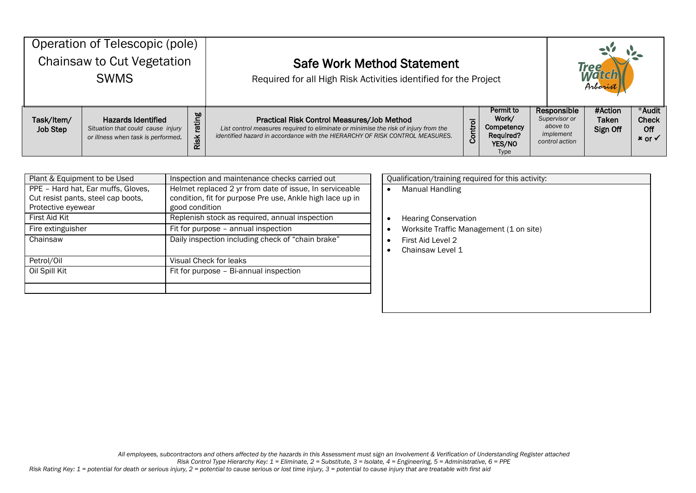| Operation of Telescopic (pole)<br>Chainsaw to Cut Vegetation<br><b>SWMS</b> |                                                                                                      |                       | <b>Safe Work Method Statement</b><br>Required for all High Risk Activities identified for the Project                                                                                                             |         | <b>Tree</b><br>Mal<br>Arborist                                         |                                                                         |                              |                                                      |
|-----------------------------------------------------------------------------|------------------------------------------------------------------------------------------------------|-----------------------|-------------------------------------------------------------------------------------------------------------------------------------------------------------------------------------------------------------------|---------|------------------------------------------------------------------------|-------------------------------------------------------------------------|------------------------------|------------------------------------------------------|
| Task/Item/<br><b>Job Step</b>                                               | <b>Hazards Identified</b><br>Situation that could cause injury<br>or illness when task is performed. | rating<br><b>Risk</b> | Practical Risk Control Measures/Job Method<br>List control measures required to eliminate or minimise the risk of injury from the<br>identified hazard in accordance with the HIERARCHY OF RISK CONTROL MEASURES. | Control | Permit to<br>Work/<br>Competency<br>Required?<br>YES/NO<br><b>Type</b> | Responsible<br>Supervisor or<br>above to<br>implement<br>control action | #Action<br>Taken<br>Sign Off | *Audit<br><b>Check</b><br>Off<br>$x$ or $\checkmark$ |

| Plant & Equipment to be Used       | Inspection and maintenance checks carried out             | Qualification/training required for this activity: |
|------------------------------------|-----------------------------------------------------------|----------------------------------------------------|
| PPE - Hard hat, Ear muffs, Gloves, | Helmet replaced 2 yr from date of issue, In serviceable   | Manual Handling                                    |
| Cut resist pants, steel cap boots, | condition, fit for purpose Pre use, Ankle high lace up in |                                                    |
| Protective eyewear                 | good condition                                            |                                                    |
| First Aid Kit                      | Replenish stock as required, annual inspection            | <b>Hearing Conservation</b>                        |
| Fire extinguisher                  | Fit for purpose - annual inspection                       | Worksite Traffic Management (1 on site)            |
| Chainsaw                           | Daily inspection including check of "chain brake"         | First Aid Level 2                                  |
|                                    |                                                           | Chainsaw Level 1                                   |
| Petrol/Oil                         | Visual Check for leaks                                    |                                                    |
| Oil Spill Kit                      | Fit for purpose - Bi-annual inspection                    |                                                    |
|                                    |                                                           |                                                    |
|                                    |                                                           |                                                    |

*Risk Control Type Hierarchy Key: 1 = Eliminate, 2 = Substitute, 3 = Isolate, 4 = Engineering, 5 = Administrative, 6 = PPE*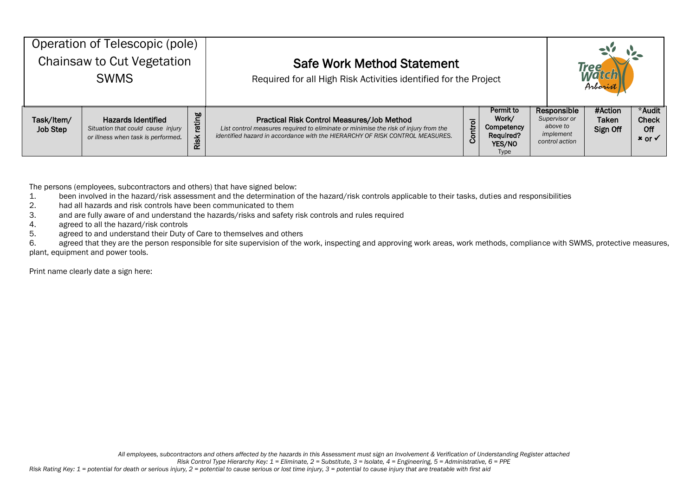| Operation of Telescopic (pole)<br>Chainsaw to Cut Vegetation<br><b>SWMS</b> |                                                                                                      |                | <b>Safe Work Method Statement</b><br>Required for all High Risk Activities identified for the Project                                                                                                             |         | <b>Treg</b><br>Arborist                                                |                                                                         |                                     |                                             |
|-----------------------------------------------------------------------------|------------------------------------------------------------------------------------------------------|----------------|-------------------------------------------------------------------------------------------------------------------------------------------------------------------------------------------------------------------|---------|------------------------------------------------------------------------|-------------------------------------------------------------------------|-------------------------------------|---------------------------------------------|
| Task/Item/<br><b>Job Step</b>                                               | <b>Hazards Identified</b><br>Situation that could cause injury<br>or illness when task is performed. | rating<br>Risk | Practical Risk Control Measures/Job Method<br>List control measures required to eliminate or minimise the risk of injury from the<br>identified hazard in accordance with the HIERARCHY OF RISK CONTROL MEASURES. | Control | Permit to<br>Work/<br>Competency<br>Required?<br>YES/NO<br><b>Type</b> | Responsible<br>Supervisor or<br>above to<br>implement<br>control action | #Action<br><b>Taken</b><br>Sign Off | *Audit<br><b>Check</b><br>Off<br>$x$ or $v$ |

The persons (employees, subcontractors and others) that have signed below:

- 1. been involved in the hazard/risk assessment and the determination of the hazard/risk controls applicable to their tasks, duties and responsibilities
- 2. had all hazards and risk controls have been communicated to them
- 3. and are fully aware of and understand the hazards/risks and safety risk controls and rules required
- 4. agreed to all the hazard/risk controls
- 5. agreed to and understand their Duty of Care to themselves and others

6. agreed that they are the person responsible for site supervision of the work, inspecting and approving work areas, work methods, compliance with SWMS, protective measures, plant, equipment and power tools.

Print name clearly date a sign here: